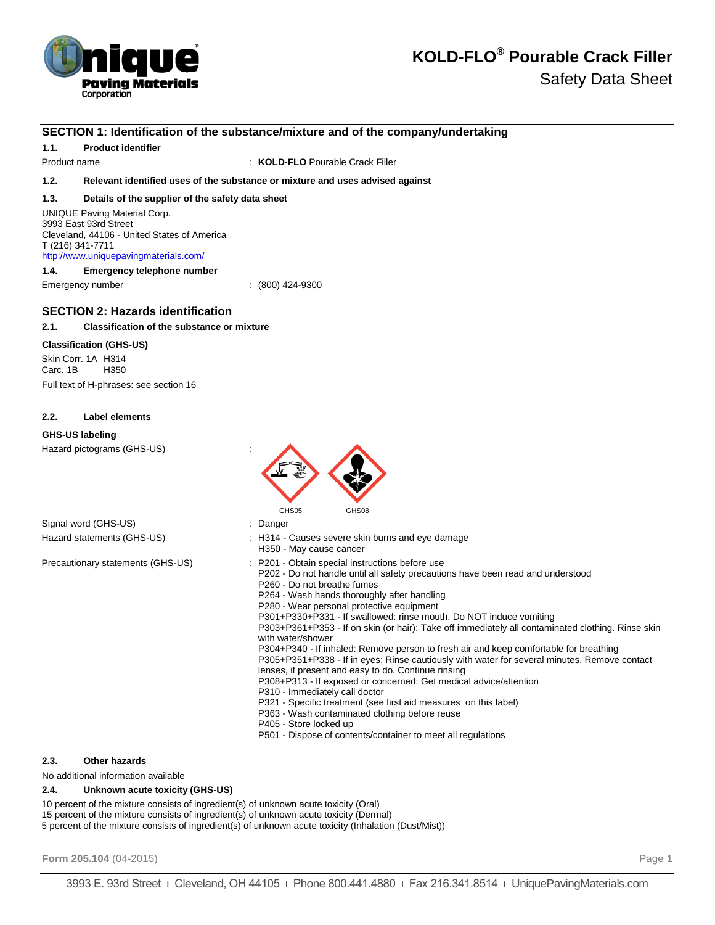

### **SECTION 1: Identification of the substance/mixture and of the company/undertaking**

**1.1. Product identifier**

Product name **:** *KOLD-FLO* Pourable Crack Filler

### **1.2. Relevant identified uses of the substance or mixture and uses advised against**

### **1.3. Details of the supplier of the safety data sheet**

UNIQUE Paving Material Corp. 3993 East 93rd Street Cleveland, 44106 - United States of America T (216) 341-7711 http://www.uniquepavingmaterials.com/

**1.4. Emergency telephone number**

Emergency number : (800) 424-9300

### **SECTION 2: Hazards identification**

### **2.1. Classification of the substance or mixture**

### **Classification (GHS-US)**

Skin Corr. 1A H314 Carc. 1B H350 Full text of H-phrases: see section 16

### **2.2. Label elements**

### **GHS-US labeling**

Hazard pictograms (GHS-US) :



| Signal word (GHS-US)       |
|----------------------------|
| Hazard statements (GHS-US) |

: H314 - Causes severe skin burns and eye damage H350 - May cause cancer

: Danger

Precautionary statements (GHS-US) : P201 - Obtain special instructions before use

P202 - Do not handle until all safety precautions have been read and understood

- P260 Do not breathe fumes
- P264 Wash hands thoroughly after handling
- P280 Wear personal protective equipment

P301+P330+P331 - If swallowed: rinse mouth. Do NOT induce vomiting

P303+P361+P353 - If on skin (or hair): Take off immediately all contaminated clothing. Rinse skin with water/shower

P304+P340 - If inhaled: Remove person to fresh air and keep comfortable for breathing P305+P351+P338 - If in eyes: Rinse cautiously with water for several minutes. Remove contact

- lenses, if present and easy to do. Continue rinsing P308+P313 - If exposed or concerned: Get medical advice/attention
- P310 Immediately call doctor
- P321 Specific treatment (see first aid measures on this label)
- P363 Wash contaminated clothing before reuse
- P405 Store locked up
- P501 Dispose of contents/container to meet all regulations

### **2.3. Other hazards**

No additional information available

### **2.4. Unknown acute toxicity (GHS-US)**

10 percent of the mixture consists of ingredient(s) of unknown acute toxicity (Oral)

15 percent of the mixture consists of ingredient(s) of unknown acute toxicity (Dermal)

5 percent of the mixture consists of ingredient(s) of unknown acute toxicity (Inhalation (Dust/Mist))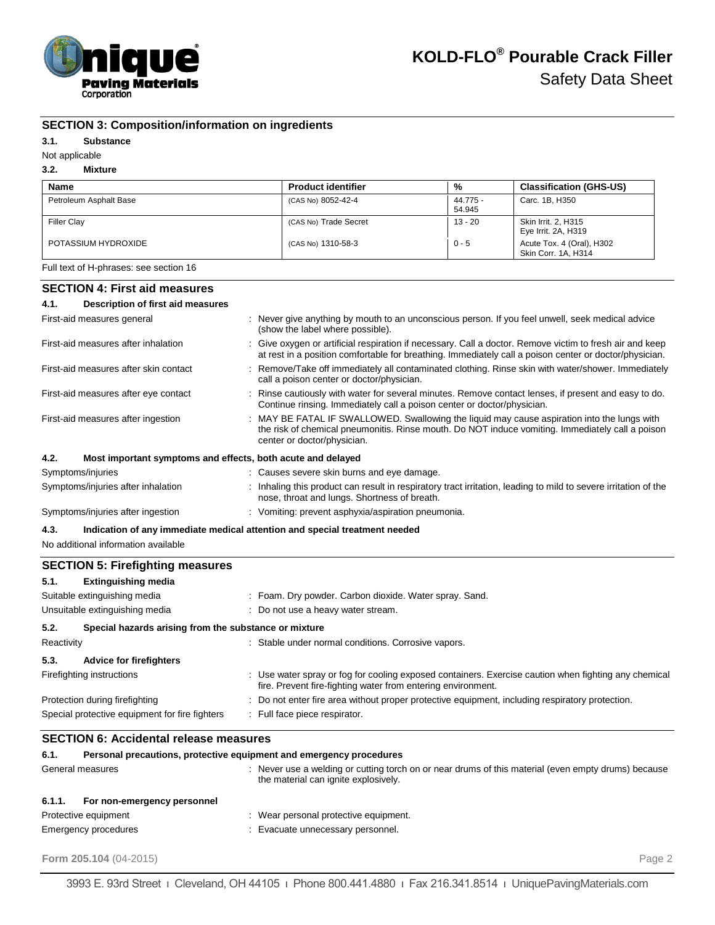

# **SECTION 3: Composition/information on ingredients**

### **3.1. Substance**

# Not applicable

# **3.2. Mixture**

| <b>Name</b>            | <b>Product identifier</b> | %                  | <b>Classification (GHS-US)</b>                   |
|------------------------|---------------------------|--------------------|--------------------------------------------------|
| Petroleum Asphalt Base | (CAS No) 8052-42-4        | 44.775 -<br>54.945 | Carc. 1B. H350                                   |
| <b>Filler Clay</b>     | (CAS No) Trade Secret     | 13 - 20            | Skin Irrit. 2, H315<br>Eye Irrit. 2A, H319       |
| POTASSIUM HYDROXIDE    | (CAS No) 1310-58-3        | $0 - 5$            | Acute Tox. 4 (Oral), H302<br>Skin Corr. 1A. H314 |

Full text of H-phrases: see section 16

# **SECTION 4: First aid measures**

| 4.1.       | <b>Description of first aid measures</b>                            |                                                                                                                                                                                                                                |
|------------|---------------------------------------------------------------------|--------------------------------------------------------------------------------------------------------------------------------------------------------------------------------------------------------------------------------|
|            | First-aid measures general                                          | : Never give anything by mouth to an unconscious person. If you feel unwell, seek medical advice<br>(show the label where possible).                                                                                           |
|            | First-aid measures after inhalation                                 | : Give oxygen or artificial respiration if necessary. Call a doctor. Remove victim to fresh air and keep<br>at rest in a position comfortable for breathing. Immediately call a poison center or doctor/physician.             |
|            | First-aid measures after skin contact                               | : Remove/Take off immediately all contaminated clothing. Rinse skin with water/shower. Immediately<br>call a poison center or doctor/physician.                                                                                |
|            | First-aid measures after eye contact                                | : Rinse cautiously with water for several minutes. Remove contact lenses, if present and easy to do.<br>Continue rinsing. Immediately call a poison center or doctor/physician.                                                |
|            | First-aid measures after ingestion                                  | : MAY BE FATAL IF SWALLOWED. Swallowing the liquid may cause aspiration into the lungs with<br>the risk of chemical pneumonitis. Rinse mouth. Do NOT induce vomiting. Immediately call a poison<br>center or doctor/physician. |
| 4.2.       | Most important symptoms and effects, both acute and delayed         |                                                                                                                                                                                                                                |
|            | Symptoms/injuries                                                   | : Causes severe skin burns and eye damage.                                                                                                                                                                                     |
|            | Symptoms/injuries after inhalation                                  | : Inhaling this product can result in respiratory tract irritation, leading to mild to severe irritation of the<br>nose, throat and lungs. Shortness of breath.                                                                |
|            | Symptoms/injuries after ingestion                                   | : Vomiting: prevent asphyxia/aspiration pneumonia.                                                                                                                                                                             |
| 4.3.       |                                                                     | Indication of any immediate medical attention and special treatment needed                                                                                                                                                     |
|            | No additional information available                                 |                                                                                                                                                                                                                                |
|            | <b>SECTION 5: Firefighting measures</b>                             |                                                                                                                                                                                                                                |
| 5.1.       | <b>Extinguishing media</b>                                          |                                                                                                                                                                                                                                |
|            | Suitable extinguishing media                                        | : Foam. Dry powder. Carbon dioxide. Water spray. Sand.                                                                                                                                                                         |
|            | Unsuitable extinguishing media                                      | : Do not use a heavy water stream.                                                                                                                                                                                             |
| 5.2.       | Special hazards arising from the substance or mixture               |                                                                                                                                                                                                                                |
| Reactivity |                                                                     | : Stable under normal conditions. Corrosive vapors.                                                                                                                                                                            |
| 5.3.       | <b>Advice for firefighters</b>                                      |                                                                                                                                                                                                                                |
|            | Firefighting instructions                                           | : Use water spray or fog for cooling exposed containers. Exercise caution when fighting any chemical<br>fire. Prevent fire-fighting water from entering environment.                                                           |
|            | Protection during firefighting                                      | Do not enter fire area without proper protective equipment, including respiratory protection.                                                                                                                                  |
|            | Special protective equipment for fire fighters                      | : Full face piece respirator.                                                                                                                                                                                                  |
|            | <b>SECTION 6: Accidental release measures</b>                       |                                                                                                                                                                                                                                |
| 6.1.       | Personal precautions, protective equipment and emergency procedures |                                                                                                                                                                                                                                |
|            | General measures                                                    | : Never use a welding or cutting torch on or near drums of this material (even empty drums) because<br>the material can ignite explosively.                                                                                    |
| 6.1.1.     | For non-emergency personnel                                         |                                                                                                                                                                                                                                |

| Protective equipment | Wear personal protective equipment. |
|----------------------|-------------------------------------|
| Emergency procedures | : Evacuate unnecessary personnel.   |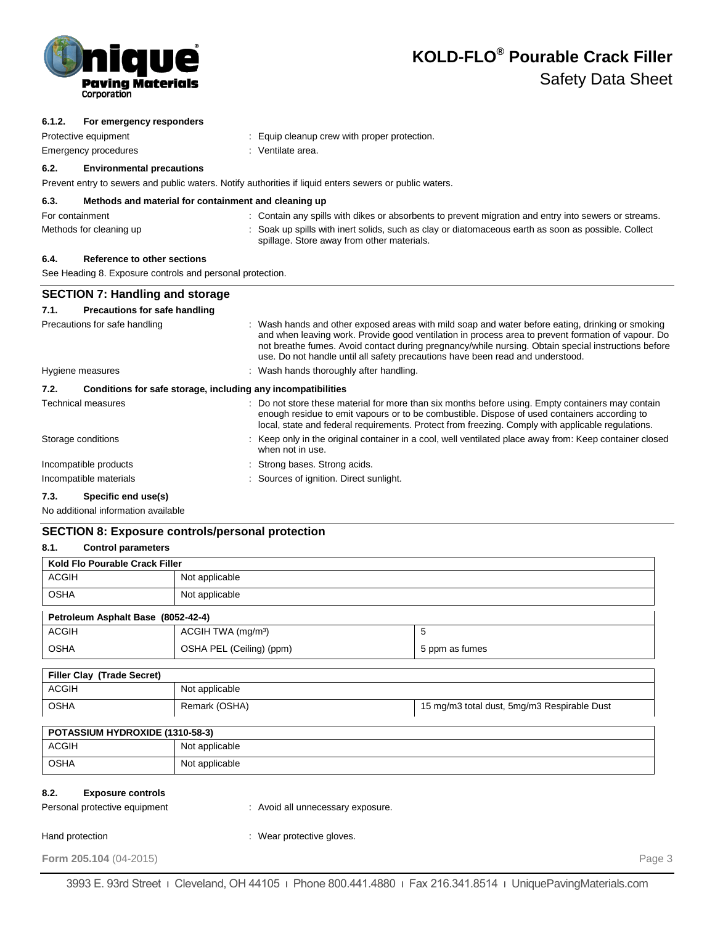

**6.1.2. For emergency responders**

# **KOLD-FLO® Pourable Crack Filler** Safety Data Sheet

# **6.2. Environmental precautions** Prevent entry to sewers and public waters. Notify authorities if liquid enters sewers or public waters. **6.3. Methods and material for containment and cleaning up** For containment : Contain any spills with dikes or absorbents to prevent migration and entry into sewers or streams. Methods for cleaning up : Soak up spills with inert solids, such as clay or diatomaceous earth as soon as possible. Collect spillage. Store away from other materials. **6.4. Reference to other sections** See Heading 8. Exposure controls and personal protection. **SECTION 7: Handling and storage 7.1. Precautions for safe handling** Precautions for safe handling : Wash hands and other exposed areas with mild soap and water before eating, drinking or smoking

Protective equipment **Equip Cleanup crew with proper protection.** : Equip cleanup crew with proper protection.

Emergency procedures in the second control of the Senate area.

|                                                             | and when leaving work. Provide good ventilation in process area to prevent formation of vapour. Do<br>not breathe fumes. Avoid contact during pregnancy/while nursing. Obtain special instructions before<br>use. Do not handle until all safety precautions have been read and understood.            |
|-------------------------------------------------------------|--------------------------------------------------------------------------------------------------------------------------------------------------------------------------------------------------------------------------------------------------------------------------------------------------------|
| Hygiene measures                                            | : Wash hands thoroughly after handling.                                                                                                                                                                                                                                                                |
| 7.2.                                                        | Conditions for safe storage, including any incompatibilities                                                                                                                                                                                                                                           |
| <b>Technical measures</b>                                   | : Do not store these material for more than six months before using. Empty containers may contain<br>enough residue to emit vapours or to be combustible. Dispose of used containers according to<br>local, state and federal requirements. Protect from freezing. Comply with applicable requlations. |
| Storage conditions                                          | : Keep only in the original container in a cool, well ventilated place away from: Keep container closed<br>when not in use.                                                                                                                                                                            |
| Incompatible products                                       | : Strong bases. Strong acids.                                                                                                                                                                                                                                                                          |
| Incompatible materials                                      | : Sources of ignition. Direct sunlight.                                                                                                                                                                                                                                                                |
| $P_{\text{model}}(t) = \text{length}(t)$<br>$\rightarrow$ ^ |                                                                                                                                                                                                                                                                                                        |

### **7.3. Specific end use(s)**

No additional information available

### **SECTION 8: Exposure controls/personal protection**

| 8.1.<br><b>Control parameters</b>                                 |                                   |                                             |        |  |
|-------------------------------------------------------------------|-----------------------------------|---------------------------------------------|--------|--|
| Kold Flo Pourable Crack Filler                                    |                                   |                                             |        |  |
| <b>ACGIH</b>                                                      | Not applicable                    |                                             |        |  |
| <b>OSHA</b>                                                       | Not applicable                    |                                             |        |  |
| Petroleum Asphalt Base (8052-42-4)                                |                                   |                                             |        |  |
| <b>ACGIH</b>                                                      | ACGIH TWA (mg/m <sup>3</sup> )    | 5                                           |        |  |
| <b>OSHA</b>                                                       | OSHA PEL (Ceiling) (ppm)          | 5 ppm as fumes                              |        |  |
| Filler Clay (Trade Secret)                                        |                                   |                                             |        |  |
| <b>ACGIH</b>                                                      | Not applicable                    |                                             |        |  |
| <b>OSHA</b>                                                       | Remark (OSHA)                     | 15 mg/m3 total dust, 5mg/m3 Respirable Dust |        |  |
| POTASSIUM HYDROXIDE (1310-58-3)                                   |                                   |                                             |        |  |
| <b>ACGIH</b>                                                      | Not applicable                    |                                             |        |  |
| <b>OSHA</b>                                                       | Not applicable                    |                                             |        |  |
| 8.2.<br><b>Exposure controls</b><br>Personal protective equipment | : Avoid all unnecessary exposure. |                                             |        |  |
| Hand protection                                                   | : Wear protective gloves.         |                                             |        |  |
| Form 205.104 (04-2015)                                            |                                   |                                             | Page 3 |  |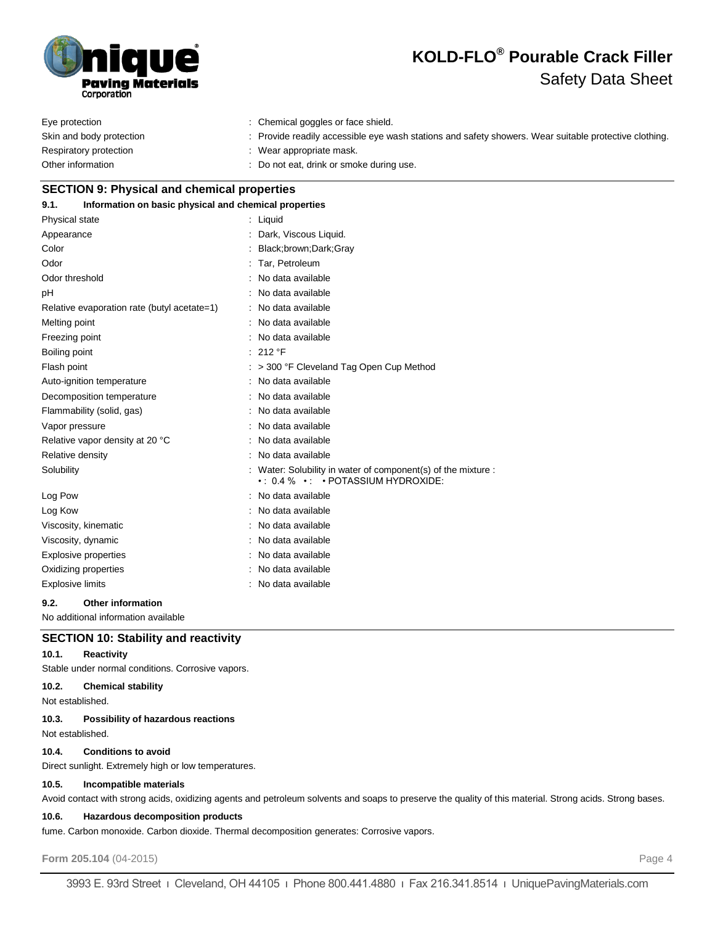

# **KOLD-FLO® Pourable Crack Filler** Safety Data Sheet

| Eye protection           | : Chemical goggles or face shield.                                                                    |
|--------------------------|-------------------------------------------------------------------------------------------------------|
| Skin and body protection | : Provide readily accessible eye wash stations and safety showers. Wear suitable protective clothing. |
| Respiratory protection   | : Wear appropriate mask.                                                                              |
| Other information        | : Do not eat, drink or smoke during use.                                                              |

# **SECTION 9: Physical and chemical properties 9.1. Information on basic physical and chemical properties** Physical state : Liquid Appearance : Dark, Viscous Liquid. Color : Black;brown;Dark;Gray Odor : Tar, Petroleum Odor threshold **in the contract of the contract of the contract of the contract of the contract of the contract of the contract of the contract of the contract of the contract of the contract of the contract of the contrac** pH : No data available Relative evaporation rate (butyl acetate=1) : No data available Melting point **in the case of the case of the case of the case of the case of the case of the case of the case of the case of the case of the case of the case of the case of the case of the case of the case of the case of** Freezing point **in the case of the Contract Contract Contract Contract Contract Contract Contract Contract Contract Contract Contract Contract Contract Contract Contract Contract Contract Contract Contract Contract Contrac** Boiling point : 212 °F Flash point **Flash point Flash point Example 200** <sup>2</sup> F Cleveland Tag Open Cup Method Auto-ignition temperature : No data available Decomposition temperature **interest and the Composition temperature** : No data available Flammability (solid, gas) : No data available Vapor pressure in the set of the set of the set of the Vapor pressure in the set of the set of the Vapor set o Relative vapor density at 20 °C : No data available Relative density **EXECUTE:** No data available Solubility **Solubility** in water solubility in water of component(s) of the mixture : • : 0.4 % • : • POTASSIUM HYDROXIDE: Log Pow  $\qquad \qquad$ : No data available Log Kow **:** No data available Viscosity, kinematic intervalsed a state of the North State available Viscosity, dynamic **intervalse in the Contract of Contract Available** : No data available Explosive properties in the set of the set of the September 2011 in the September 2016 in the September 2016 Oxidizing properties **in the Community Community** Contract available

Explosive limits **Explosive** limits **Explosive limits** available **9.2. Other information**

No additional information available

# **SECTION 10: Stability and reactivity**

### **10.1. Reactivity**

Stable under normal conditions. Corrosive vapors.

# **10.2. Chemical stability**

Not established.

### **10.3. Possibility of hazardous reactions**

Not established.

### **10.4. Conditions to avoid**

Direct sunlight. Extremely high or low temperatures.

### **10.5. Incompatible materials**

Avoid contact with strong acids, oxidizing agents and petroleum solvents and soaps to preserve the quality of this material. Strong acids. Strong bases.

### **10.6. Hazardous decomposition products**

fume. Carbon monoxide. Carbon dioxide. Thermal decomposition generates: Corrosive vapors.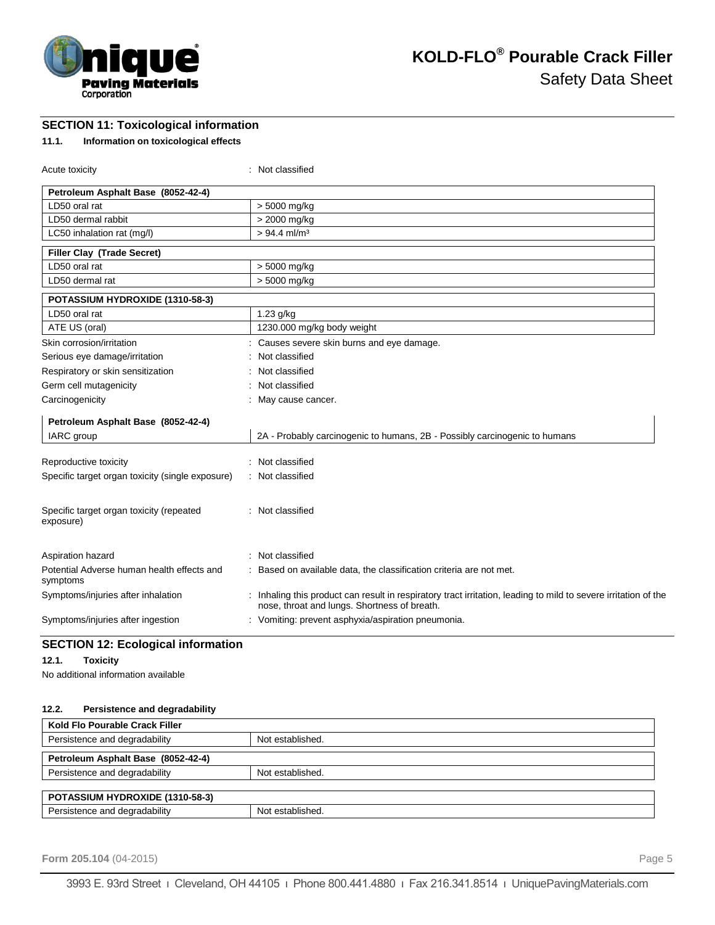

**SECTION 11: Toxicological information**

# **11.1. Information on toxicological effects**

| Acute toxicity                                         | : Not classified                                                                                                                                                |
|--------------------------------------------------------|-----------------------------------------------------------------------------------------------------------------------------------------------------------------|
| Petroleum Asphalt Base (8052-42-4)                     |                                                                                                                                                                 |
| LD50 oral rat                                          | > 5000 mg/kg                                                                                                                                                    |
| LD50 dermal rabbit                                     | > 2000 mg/kg                                                                                                                                                    |
| LC50 inhalation rat (mg/l)                             | $> 94.4$ ml/m <sup>3</sup>                                                                                                                                      |
| Filler Clay (Trade Secret)                             |                                                                                                                                                                 |
| LD50 oral rat                                          | > 5000 mg/kg                                                                                                                                                    |
| LD50 dermal rat                                        | > 5000 mg/kg                                                                                                                                                    |
| POTASSIUM HYDROXIDE (1310-58-3)                        |                                                                                                                                                                 |
| LD50 oral rat                                          | $1.23$ g/kg                                                                                                                                                     |
| ATE US (oral)                                          | 1230.000 mg/kg body weight                                                                                                                                      |
| Skin corrosion/irritation                              | : Causes severe skin burns and eye damage.                                                                                                                      |
| Serious eye damage/irritation                          | Not classified                                                                                                                                                  |
| Respiratory or skin sensitization                      | Not classified                                                                                                                                                  |
| Germ cell mutagenicity                                 | : Not classified                                                                                                                                                |
| Carcinogenicity                                        | : May cause cancer.                                                                                                                                             |
| Petroleum Asphalt Base (8052-42-4)                     |                                                                                                                                                                 |
| IARC group                                             | 2A - Probably carcinogenic to humans, 2B - Possibly carcinogenic to humans                                                                                      |
| Reproductive toxicity                                  | : Not classified                                                                                                                                                |
| Specific target organ toxicity (single exposure)       | : Not classified                                                                                                                                                |
|                                                        |                                                                                                                                                                 |
| Specific target organ toxicity (repeated<br>exposure)  | : Not classified                                                                                                                                                |
| Aspiration hazard                                      | : Not classified                                                                                                                                                |
| Potential Adverse human health effects and<br>symptoms | : Based on available data, the classification criteria are not met.                                                                                             |
| Symptoms/injuries after inhalation                     | : Inhaling this product can result in respiratory tract irritation, leading to mild to severe irritation of the<br>nose, throat and lungs. Shortness of breath. |
| Symptoms/injuries after ingestion                      | : Vomiting: prevent asphyxia/aspiration pneumonia.                                                                                                              |

# **SECTION 12: Ecological information**

### **12.1. Toxicity**

No additional information available

### **12.2. Persistence and degradability**

| Kold Flo Pourable Crack Filler         |                  |
|----------------------------------------|------------------|
| Persistence and degradability          | Not established. |
| Petroleum Asphalt Base (8052-42-4)     |                  |
|                                        |                  |
| Persistence and degradability          | Not established. |
|                                        |                  |
| <b>POTASSIUM HYDROXIDE (1310-58-3)</b> |                  |
| Persistence and degradability          | Not established. |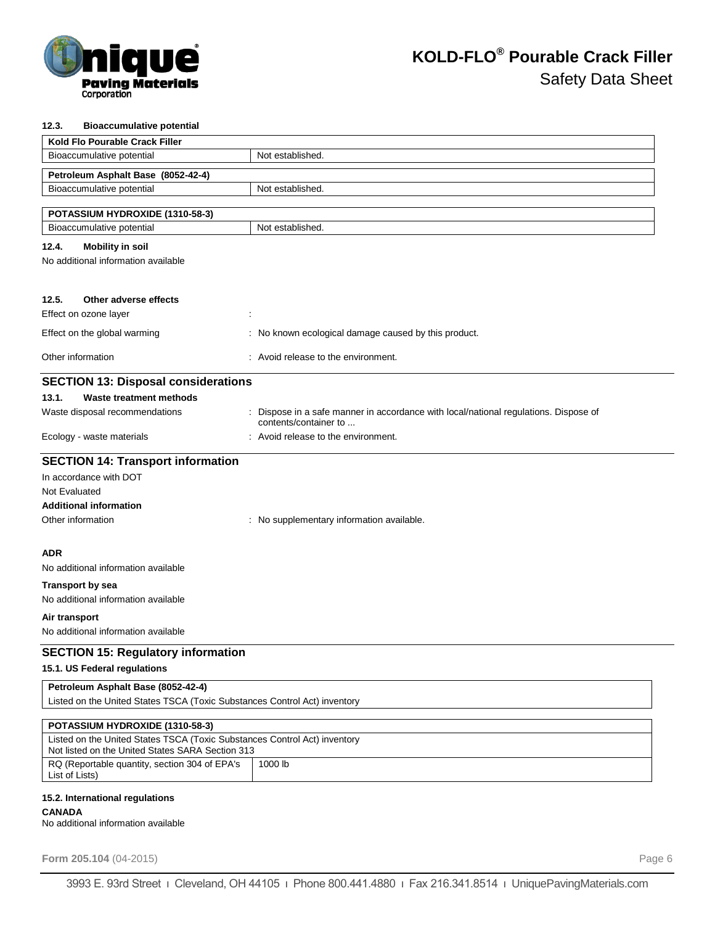

### **12.3. Bioaccumulative potential**

| Kold Flo Pourable Crack Filler                                                                    |                                                                                    |  |  |
|---------------------------------------------------------------------------------------------------|------------------------------------------------------------------------------------|--|--|
| Bioaccumulative potential                                                                         | Not established.                                                                   |  |  |
| Petroleum Asphalt Base (8052-42-4)                                                                |                                                                                    |  |  |
| Bioaccumulative potential                                                                         | Not established.                                                                   |  |  |
|                                                                                                   |                                                                                    |  |  |
| POTASSIUM HYDROXIDE (1310-58-3)<br>Bioaccumulative potential                                      | Not established.                                                                   |  |  |
|                                                                                                   |                                                                                    |  |  |
| 12.4.<br><b>Mobility in soil</b><br>No additional information available                           |                                                                                    |  |  |
|                                                                                                   |                                                                                    |  |  |
|                                                                                                   |                                                                                    |  |  |
| 12.5.<br>Other adverse effects                                                                    |                                                                                    |  |  |
| Effect on ozone layer                                                                             |                                                                                    |  |  |
| Effect on the global warming                                                                      | : No known ecological damage caused by this product.                               |  |  |
| Other information                                                                                 | : Avoid release to the environment.                                                |  |  |
| <b>SECTION 13: Disposal considerations</b>                                                        |                                                                                    |  |  |
| 13.1.<br>Waste treatment methods                                                                  |                                                                                    |  |  |
| Waste disposal recommendations                                                                    | Dispose in a safe manner in accordance with local/national regulations. Dispose of |  |  |
| Ecology - waste materials                                                                         | contents/container to<br>: Avoid release to the environment.                       |  |  |
|                                                                                                   |                                                                                    |  |  |
| <b>SECTION 14: Transport information</b>                                                          |                                                                                    |  |  |
| In accordance with DOT                                                                            |                                                                                    |  |  |
| Not Evaluated                                                                                     |                                                                                    |  |  |
| <b>Additional information</b>                                                                     |                                                                                    |  |  |
| Other information                                                                                 | : No supplementary information available.                                          |  |  |
| <b>ADR</b>                                                                                        |                                                                                    |  |  |
| No additional information available                                                               |                                                                                    |  |  |
| <b>Transport by sea</b>                                                                           |                                                                                    |  |  |
| No additional information available                                                               |                                                                                    |  |  |
| Air transport                                                                                     |                                                                                    |  |  |
| No additional information available                                                               |                                                                                    |  |  |
| <b>SECTION 15: Regulatory information</b>                                                         |                                                                                    |  |  |
| 15.1. US Federal regulations                                                                      |                                                                                    |  |  |
| Petroleum Asphalt Base (8052-42-4)                                                                |                                                                                    |  |  |
| Listed on the United States TSCA (Toxic Substances Control Act) inventory                         |                                                                                    |  |  |
| POTASSIUM HYDROXIDE (1310-58-3)                                                                   |                                                                                    |  |  |
| Listed on the United States TSCA (Toxic Substances Control Act) inventory                         |                                                                                    |  |  |
| Not listed on the United States SARA Section 313<br>RQ (Reportable quantity, section 304 of EPA's | 1000 lb                                                                            |  |  |
| List of Lists)                                                                                    |                                                                                    |  |  |
| 15.2. International regulations                                                                   |                                                                                    |  |  |
| <b>CANADA</b>                                                                                     |                                                                                    |  |  |

No additional information available